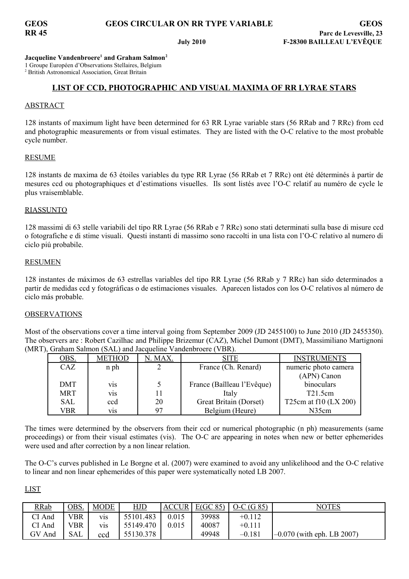**Jacqueline Vandenbroere<sup>1</sup> and Graham Salmon<sup>2</sup>**

1 Groupe Européen d'Observations Stellaires, Belgium

2 British Astronomical Association, Great Britain

# **LIST OF CCD, PHOTOGRAPHIC AND VISUAL MAXIMA OF RR LYRAE STARS**

# ABSTRACT

128 instants of maximum light have been determined for 63 RR Lyrae variable stars (56 RRab and 7 RRc) from ccd and photographic measurements or from visual estimates. They are listed with the O-C relative to the most probable cycle number.

## RESUME

128 instants de maxima de 63 étoiles variables du type RR Lyrae (56 RRab et 7 RRc) ont été déterminés à partir de mesures ccd ou photographiques et d'estimations visuelles. Ils sont listés avec l'O-C relatif au numéro de cycle le plus vraisemblable.

## RIASSUNTO

128 massimi di 63 stelle variabili del tipo RR Lyrae (56 RRab e 7 RRc) sono stati determinati sulla base di misure ccd o fotografiche e di stime visuali. Questi instanti di massimo sono raccolti in una lista con l'O-C relativo al numero di ciclo piú probabile.

## RESUMEN

128 instantes de máximos de 63 estrellas variables del tipo RR Lyrae (56 RRab y 7 RRc) han sido determinados a partir de medidas ccd y fotográficas o de estimaciones visuales. Aparecen listados con los O-C relativos al número de ciclo más probable.

## OBSERVATIONS

Most of the observations cover a time interval going from September 2009 (JD 2455100) to June 2010 (JD 2455350). The observers are : Robert Cazilhac and Philippe Brizemur (CAZ), Michel Dumont (DMT), Massimiliano Martignoni (MRT), Graham Salmon (SAL) and Jacqueline Vandenbroere (VBR).

| <u>OBS.</u> | METHOD           | . MAX | SITE                       | <b>INSTRUMENTS</b>    |
|-------------|------------------|-------|----------------------------|-----------------------|
| CAZ         | n ph             |       | France (Ch. Renard)        | numeric photo camera  |
|             |                  |       |                            | (APN) Canon           |
| DMT         | V <sub>1</sub> S |       | France (Baîlleau l'Evêque) | binoculars            |
| <b>MRT</b>  | V <sub>1</sub> S | 11    | Italy                      | T21.5cm               |
| SAL         | ccd              | 20    | Great Britain (Dorset)     | T25cm at f10 (LX 200) |
| VBR         | V1S              | 97    | Belgium (Heure)            | N35cm                 |

The times were determined by the observers from their ccd or numerical photographic (n ph) measurements (same proceedings) or from their visual estimates (vis). The O-C are appearing in notes when new or better ephemerides were used and after correction by a non linear relation.

The O-C's curves published in Le Borgne et al. (2007) were examined to avoid any unlikelihood and the O-C relative to linear and non linear ephemerides of this paper were systematically noted LB 2007.

# LIST

| <b>RRab</b> | <u>OBS.</u> | <b>MODE</b>      | <u>HJD</u> | <b>ACCUR</b> | E(GC 85) | $O-C(G 85)$ | NOTES                        |
|-------------|-------------|------------------|------------|--------------|----------|-------------|------------------------------|
| CI And      | √BR         | V <sub>1</sub> S | 55101.483  | 0.015        | 39988    | $+0.112$    |                              |
| CI And      | √BR         | V <sub>1</sub> S | 55149.470  | 0.015        | 40087    | $+0.111$    |                              |
| GV<br>And   | SAL         | ccd              | 55130.378  |              | 49948    | $-0.181$    | $-0.070$ (with eph. LB 2007) |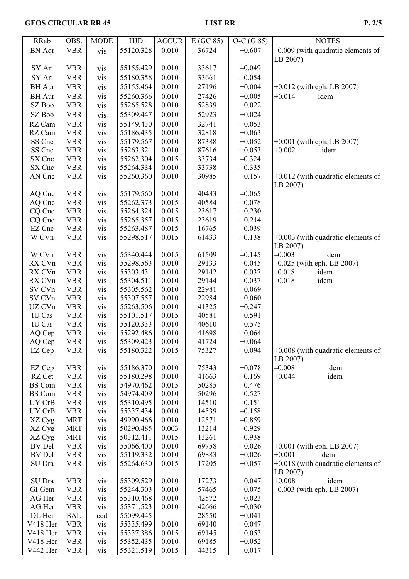| <b>RRab</b>   | OBS.       | <b>MODE</b> | HJD       | <b>ACCUR</b> | E(GC 85) | $O-C(G 85)$ | <b>NOTES</b>                         |
|---------------|------------|-------------|-----------|--------------|----------|-------------|--------------------------------------|
| <b>BN</b> Aqr | <b>VBR</b> | vis         | 55120.328 | 0.010        | 36724    | $+0.607$    | $-0.009$ (with quadratic elements of |
|               |            |             |           |              |          |             | LB 2007)                             |
| SY Ari        | <b>VBR</b> | vis         | 55155.429 | 0.010        | 33617    | $-0.049$    |                                      |
| SY Ari        | <b>VBR</b> | <b>vis</b>  | 55180.358 | 0.010        | 33661    | $-0.054$    |                                      |
| <b>BH</b> Aur | <b>VBR</b> | vis         | 55155.464 | 0.010        | 27196    | $+0.004$    | $+0.012$ (with eph. LB 2007)         |
| <b>BH</b> Aur | <b>VBR</b> | vis         | 55260.366 | 0.010        | 27426    | $+0.005$    | $+0.014$<br>idem                     |
| SZ Boo        | <b>VBR</b> | vis         | 55265.528 | 0.010        | 52839    | $+0.022$    |                                      |
| SZ Boo        | <b>VBR</b> | vis         | 55309.447 | 0.010        | 52923    | $+0.024$    |                                      |
| RZ Cam        | <b>VBR</b> | vis         | 55149.430 | 0.010        | 32741    | $+0.053$    |                                      |
| RZ Cam        | <b>VBR</b> | vis         | 55186.435 | 0.010        | 32818    | $+0.063$    |                                      |
| SS Cnc        | <b>VBR</b> | vis         | 55179.567 | 0.010        | 87388    | $+0.052$    | $+0.001$ (with eph. LB 2007)         |
| SS Cnc        | <b>VBR</b> | vis         | 55263.321 | 0.010        | 87616    | $+0.053$    | $+0.002$<br>idem                     |
| SX Cnc        | <b>VBR</b> | vis         | 55262.304 | 0.015        | 33734    | $-0.324$    |                                      |
| SX Cnc        | <b>VBR</b> | vis         | 55264.334 | 0.010        | 33738    | $-0.335$    |                                      |
| AN Cnc        | <b>VBR</b> | vis         | 55260.360 | 0.010        | 30985    | $+0.157$    | $+0.012$ (with quadratic elements of |
|               |            |             |           |              |          |             | LB 2007)                             |
| AQ Cnc        | <b>VBR</b> | vis         | 55179.560 | 0.010        | 40433    | $-0.065$    |                                      |
| AQ Cnc        | <b>VBR</b> | vis         | 55262.373 | 0.015        | 40584    | $-0.078$    |                                      |
| CQ Cnc        | <b>VBR</b> | vis         | 55264.324 | 0.015        | 23617    | $+0.230$    |                                      |
| CQ Cnc        | <b>VBR</b> | vis         | 55265.357 | 0.015        | 23619    | $+0.214$    |                                      |
| EZ Cnc        | <b>VBR</b> | vis         | 55263.487 | 0.015        | 16765    | $-0.039$    |                                      |
| W CVn         | <b>VBR</b> | vis         | 55298.517 | 0.015        | 61433    | $-0.138$    | $+0.003$ (with quadratic elements of |
|               |            |             |           |              |          |             | LB 2007)                             |
| W CVn         | <b>VBR</b> | vis         | 55340.444 | 0.015        | 61509    | $-0.145$    | $-0.003$<br>idem                     |
| RX CVn        | <b>VBR</b> | vis         | 55298.563 | 0.010        | 29133    | $-0.045$    | $-0.025$ (with eph. LB 2007)         |
| RX CVn        | <b>VBR</b> | vis         | 55303.431 | 0.010        | 29142    | $-0.037$    | $-0.018$<br>idem                     |
| RX CVn        | <b>VBR</b> | vis         | 55304.511 | 0.010        | 29144    | $-0.037$    | $-0.018$<br>idem                     |
| SV CVn        | <b>VBR</b> | vis         | 55305.562 | 0.010        | 22981    | $+0.069$    |                                      |
| SV CVn        | <b>VBR</b> | vis         | 55307.557 | 0.010        | 22984    | $+0.060$    |                                      |
| UZ CVn        | <b>VBR</b> | vis         | 55263.506 | 0.010        | 41325    | $+0.247$    |                                      |
| IU Cas        | <b>VBR</b> | vis         | 55101.517 | 0.015        | 40581    | $+0.591$    |                                      |
| IU Cas        | <b>VBR</b> | vis         | 55120.333 | 0.010        | 40610    | $+0.575$    |                                      |
| AQ Cep        | <b>VBR</b> | vis         | 55292.486 | 0.010        | 41698    | $+0.064$    |                                      |
| AQ Cep        | <b>VBR</b> | vis         | 55309.423 | 0.010        | 41724    | $+0.064$    |                                      |
| EZ Cep        | <b>VBR</b> | <b>VIS</b>  | 55180.322 | 0.015        | 75327    | $+0.094$    | $+0.008$ (with quadratic elements of |
|               |            |             |           |              |          |             | LB 2007)                             |
| EZ Cep        | <b>VBR</b> | vis         | 55186.370 | 0.010        | 75343    | $+0.078$    | $-0.008$<br>idem                     |
| RZ Cet        | <b>VBR</b> | vis         | 55180.298 | 0.010        | 41663    | $-0.169$    | $+0.044$<br>idem                     |
| <b>BS</b> Com | <b>VBR</b> | vis         | 54970.462 | 0.015        | 50285    | $-0.476$    |                                      |
| <b>BS</b> Com | <b>VBR</b> | vis         | 54974.409 | 0.010        | 50296    | $-0.527$    |                                      |
| UY CrB        | <b>VBR</b> | vis         | 55310.495 | 0.010        | 14510    | $-0.151$    |                                      |
| UY CrB        | <b>VBR</b> | vis         | 55337.434 | 0.010        | 14539    | $-0.158$    |                                      |
| XZ Cyg        | <b>MRT</b> | vis         | 49990.466 | 0.010        | 12571    | $-0.859$    |                                      |
| XZ Cyg        | <b>MRT</b> | vis         | 50290.485 | 0.003        | 13214    | $-0.929$    |                                      |
| XZ Cyg        | <b>MRT</b> | vis         | 50312.411 | 0.015        | 13261    | $-0.938$    |                                      |
| <b>BV</b> Del | <b>VBR</b> | vis         | 55066.400 | 0.010        | 69758    | $+0.026$    | $+0.001$ (with eph. LB 2007)         |
| <b>BV</b> Del | <b>VBR</b> | vis         | 55119.332 | 0.010        | 69883    | $+0.026$    | $+0.001$<br>idem                     |
| SU Dra        | <b>VBR</b> | vis         | 55264.630 | 0.015        | 17205    | $+0.057$    | $+0.018$ (with quadratic elements of |
|               |            |             |           |              |          |             | LB 2007)                             |
| SU Dra        | <b>VBR</b> | vis         | 55309.529 | 0.010        | 17273    | $+0.047$    | $+0.008$<br>idem                     |
| GI Gem        | <b>VBR</b> | vis         | 55244.303 | 0.010        | 57465    | $+0.075$    | $-0.003$ (with eph. LB 2007)         |
| AG Her        | <b>VBR</b> | vis         | 55310.468 | 0.010        | 42572    | $+0.023$    |                                      |
| AG Her        | <b>VBR</b> | vis         | 55371.523 | 0.010        | 42666    | $+0.030$    |                                      |
| DL Her        | <b>SAL</b> | ccd         | 55099.445 |              | 28550    | $+0.041$    |                                      |
| V418 Her      | <b>VBR</b> | vis         | 55335.499 | 0.010        | 69140    | $+0.047$    |                                      |
| V418 Her      | <b>VBR</b> | vis         | 55337.386 | 0.015        | 69145    | $+0.053$    |                                      |
| V418 Her      | <b>VBR</b> | vis         | 55352.435 | 0.010        | 69185    | $+0.052$    |                                      |
| V442 Her      | <b>VBR</b> | vis         | 55321.519 | 0.015        | 44315    | $+0.017$    |                                      |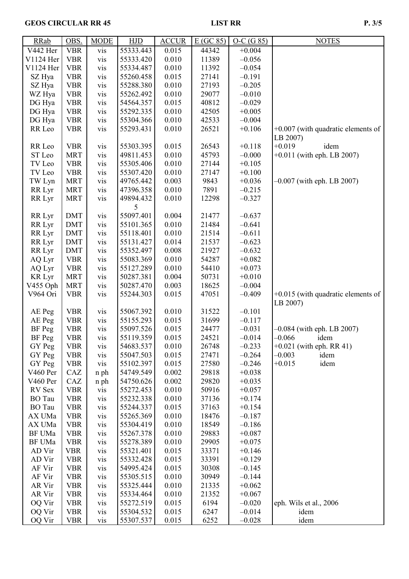# GEOS CIRCULAR RR 45 LIST RR P. 3/5

| <b>RRab</b>   | OBS.       | <b>MODE</b> | <b>HJD</b> | <b>ACCUR</b> | E(GC 85) | $O-C(G 85)$ | <b>NOTES</b>                         |
|---------------|------------|-------------|------------|--------------|----------|-------------|--------------------------------------|
| V442 Her      | <b>VBR</b> | vis         | 55333.443  | 0.015        | 44342    | $+0.004$    |                                      |
| V1124 Her     | <b>VBR</b> | vis         | 55333.420  | 0.010        | 11389    | $-0.056$    |                                      |
| V1124 Her     | <b>VBR</b> | vis         | 55334.487  | 0.010        | 11392    | $-0.054$    |                                      |
| SZ Hya        | <b>VBR</b> | vis         | 55260.458  | 0.015        | 27141    | $-0.191$    |                                      |
| SZ Hya        | <b>VBR</b> | vis         | 55288.380  | 0.010        | 27193    | $-0.205$    |                                      |
| WZ Hya        | <b>VBR</b> | vis         | 55262.492  | 0.010        | 29077    | $-0.010$    |                                      |
| DG Hya        | <b>VBR</b> | vis         | 54564.357  | 0.015        | 40812    | $-0.029$    |                                      |
| DG Hya        | <b>VBR</b> | vis         | 55292.335  | 0.010        | 42505    | $+0.005$    |                                      |
| DG Hya        | <b>VBR</b> | vis         | 55304.366  | 0.010        | 42533    | $-0.004$    |                                      |
| RR Leo        | <b>VBR</b> | vis         | 55293.431  | 0.010        | 26521    | $+0.106$    | $+0.007$ (with quadratic elements of |
|               |            |             |            |              |          |             |                                      |
|               |            |             |            |              |          |             | LB 2007)<br>$+0.019$<br>idem         |
| RR Leo        | <b>VBR</b> | vis         | 55303.395  | 0.015        | 26543    | $+0.118$    |                                      |
| ST Leo        | <b>MRT</b> | vis         | 49811.453  | 0.010        | 45793    | $-0.000$    | $+0.011$ (with eph. LB 2007)         |
| TV Leo        | <b>VBR</b> | vis         | 55305.406  | 0.010        | 27144    | $+0.105$    |                                      |
| TV Leo        | <b>VBR</b> | vis         | 55307.420  | 0.010        | 27147    | $+0.100$    |                                      |
| TW Lyn        | <b>MRT</b> | vis         | 49765.442  | 0.003        | 9843     | $+0.036$    | $-0.007$ (with eph. LB 2007)         |
| RR Lyr        | <b>MRT</b> | <b>vis</b>  | 47396.358  | 0.010        | 7891     | $-0.215$    |                                      |
| RR Lyr        | <b>MRT</b> | vis         | 49894.432  | 0.010        | 12298    | $-0.327$    |                                      |
|               |            |             | 5          |              |          |             |                                      |
| RR Lyr        | <b>DMT</b> | vis         | 55097.401  | 0.004        | 21477    | $-0.637$    |                                      |
| RR Lyr        | <b>DMT</b> | vis         | 55101.365  | 0.010        | 21484    | $-0.641$    |                                      |
| RR Lyr        | <b>DMT</b> | vis         | 55118.401  | 0.010        | 21514    | $-0.611$    |                                      |
| RR Lyr        | <b>DMT</b> | vis         | 55131.427  | 0.014        | 21537    | $-0.623$    |                                      |
| RR Lyr        | <b>DMT</b> | vis         | 55352.497  | 0.008        | 21927    | $-0.632$    |                                      |
| AQ Lyr        | <b>VBR</b> | vis         | 55083.369  | 0.010        | 54287    | $+0.082$    |                                      |
| AQ Lyr        | <b>VBR</b> | <b>vis</b>  | 55127.289  | 0.010        | 54410    | $+0.073$    |                                      |
| <b>KR</b> Lyr | <b>MRT</b> | vis         | 50287.381  | 0.004        | 50731    | $+0.010$    |                                      |
| V455 Oph      | <b>MRT</b> | vis         | 50287.470  | 0.003        | 18625    | $-0.004$    |                                      |
| V964 Ori      | <b>VBR</b> | vis         | 55244.303  | 0.015        | 47051    | $-0.409$    | $+0.015$ (with quadratic elements of |
|               |            |             |            |              |          |             | LB 2007)                             |
| AE Peg        | <b>VBR</b> | vis         | 55067.392  | 0.010        | 31522    | $-0.101$    |                                      |
| AE Peg        | <b>VBR</b> | vis         | 55155.293  | 0.015        | 31699    | $-0.117$    |                                      |
| <b>BF</b> Peg | <b>VBR</b> | vis         | 55097.526  | 0.015        | 24477    | $-0.031$    | $-0.084$ (with eph. LB 2007)         |
| <b>BF</b> Peg | <b>VBR</b> | vis         | 55119.359  | 0.015        | 24521    | $-0.014$    | $-0.066$<br>idem                     |
|               |            |             | 54683.537  |              | 26748    | $-0.233$    | $+0.021$ (with eph. RR 41)           |
| GY Peg        | VBR        | <b>VIS</b>  |            | 0.010        |          |             | $-0.003$                             |
| GY Peg        | <b>VBR</b> | <b>VIS</b>  | 55047.503  | 0.015        | 27471    | $-0.264$    | idem                                 |
| GY Peg        | <b>VBR</b> | vis         | 55102.397  | 0.015        | 27580    | $-0.246$    | $+0.015$<br>idem                     |
| V460 Per      | CAZ        | n ph        | 54749.549  | 0.002        | 29818    | $+0.038$    |                                      |
| V460 Per      | CAZ        | n ph        | 54750.626  | 0.002        | 29820    | $+0.035$    |                                      |
| RV Sex        | <b>VBR</b> | vis         | 55272.453  | 0.010        | 50916    | $+0.057$    |                                      |
| <b>BO</b> Tau | <b>VBR</b> | vis         | 55232.338  | 0.010        | 37136    | $+0.174$    |                                      |
| <b>BO</b> Tau | <b>VBR</b> | vis         | 55244.337  | 0.015        | 37163    | $+0.154$    |                                      |
| AX UMa        | <b>VBR</b> | vis         | 55265.369  | 0.010        | 18476    | $-0.187$    |                                      |
| AX UMa        | <b>VBR</b> | vis         | 55304.419  | 0.010        | 18549    | $-0.186$    |                                      |
| BF UMa        | <b>VBR</b> | vis         | 55267.378  | 0.010        | 29883    | $+0.087$    |                                      |
| BF UMa        | <b>VBR</b> | vis         | 55278.389  | 0.010        | 29905    | $+0.075$    |                                      |
| AD Vir        | <b>VBR</b> | vis         | 55321.401  | 0.015        | 33371    | $+0.146$    |                                      |
| AD Vir        | <b>VBR</b> | vis         | 55332.428  | 0.015        | 33391    | $+0.129$    |                                      |
| AF Vir        | <b>VBR</b> | vis         | 54995.424  | 0.015        | 30308    | $-0.145$    |                                      |
| AF Vir        | <b>VBR</b> | vis         | 55305.515  | 0.010        | 30949    | $-0.144$    |                                      |
| AR Vir        | <b>VBR</b> | vis         | 55325.444  | 0.010        | 21335    | $+0.062$    |                                      |
| AR Vir        | <b>VBR</b> | vis         | 55334.464  | 0.010        | 21352    | $+0.067$    |                                      |
| OQ Vir        | <b>VBR</b> | vis         | 55272.519  | 0.015        | 6194     | $-0.020$    | eph. Wils et al., 2006               |
| OQ Vir        | <b>VBR</b> | vis         | 55304.532  | 0.015        | 6247     | $-0.014$    | idem                                 |
| OQ Vir        | <b>VBR</b> | vis         | 55307.537  | 0.015        | 6252     | $-0.028$    | idem                                 |
|               |            |             |            |              |          |             |                                      |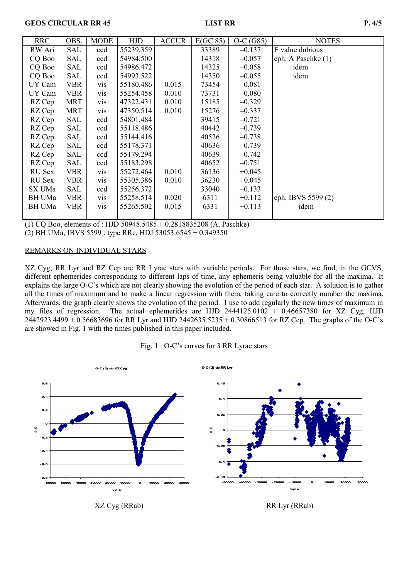# **GEOS CIRCULAR RR 45** LIST RR P. 4/5

| <b>RRC</b>    | OBS.       | <b>MODE</b>      | <b>HJD</b> | <b>ACCUR</b> | E(GC 85) | $O-C(G85)$ | <b>NOTES</b>       |
|---------------|------------|------------------|------------|--------------|----------|------------|--------------------|
| RW Ari        | <b>SAL</b> | ccd              | 55239.359  |              | 33389    | $-0.137$   | E value dubious    |
| CQ Boo        | <b>SAL</b> | ccd              | 54984.500  |              | 14318    | $-0.057$   | eph. A Paschke (1) |
| CQ Boo        | SAL        | ccd              | 54986.472  |              | 14325    | $-0.058$   | idem               |
| CQ Boo        | <b>SAL</b> | ccd              | 54993.522  |              | 14350    | $-0.055$   | idem               |
| UY Cam        | <b>VBR</b> | <b>VIS</b>       | 55180.486  | 0.015        | 73454    | $-0.081$   |                    |
| UY Cam        | <b>VBR</b> | <b>VIS</b>       | 55254.458  | 0.010        | 73731    | $-0.080$   |                    |
| RZ Cep        | <b>MRT</b> | <b>vis</b>       | 47322.431  | 0.010        | 15185    | $-0.329$   |                    |
| RZ Cep        | <b>MRT</b> | V <sub>1</sub> S | 47350.514  | 0.010        | 15276    | $-0.337$   |                    |
| RZ Cep        | <b>SAL</b> | ccd              | 54801.484  |              | 39415    | $-0.721$   |                    |
| RZ Cep        | <b>SAL</b> | ccd              | 55118.486  |              | 40442    | $-0.739$   |                    |
| RZ Cep        | <b>SAL</b> | ccd              | 55144.416  |              | 40526    | $-0.738$   |                    |
| RZ Cep        | <b>SAL</b> | ccd              | 55178.371  |              | 40636    | $-0.739$   |                    |
| RZ Cep        | <b>SAL</b> | ccd              | 55179.294  |              | 40639    | $-0.742$   |                    |
| RZ Cep        | SAL        | ccd              | 55183.298  |              | 40652    | $-0.751$   |                    |
| RU Sex        | <b>VBR</b> | <b>VIS</b>       | 55272.464  | 0.010        | 36136    | $+0.045$   |                    |
| <b>RU</b> Sex | <b>VBR</b> | <b>vis</b>       | 55305.386  | 0.010        | 36230    | $+0.045$   |                    |
| SX UMa        | <b>SAL</b> | ccd              | 55256.372  |              | 33040    | $-0.133$   |                    |
| BH UMa        | <b>VBR</b> | <b>VIS</b>       | 55258.514  | 0.020        | 6311     | $+0.112$   | eph. IBVS 5599 (2) |
| BH UMa        | <b>VBR</b> | <b>VIS</b>       | 55265.502  | 0.015        | 6331     | $+0.113$   | idem               |
|               |            |                  |            |              |          |            |                    |

(1) CQ Boo, elements of : HJD 50948.5485 + 0.2818835208 (A. Paschke)

(2) BH UMa, IBVS 5599 : type RRc, HDJ 53053.6545 + 0.349350

# REMARKS ON INDIVIDUAL STARS

XZ Cyg, RR Lyr and RZ Cep are RR Lyrae stars with variable periods. For those stars, we find, in the GCVS, different ephemerides corresponding to different laps of time, any ephemeris being valuable for all the maxima. It explains the large O-C's which are not clearly showing the evolution of the period of each star. A solution is to gather all the times of maximum and to make a linear regression with them, taking care to correctly number the maxima. Afterwards, the graph clearly shows the evolution of the period. I use to add regularly the new times of maximum in my files of regression. The actual ephemerides are HJD 2444125.0102 + 0.46657380 for XZ Cyg, HJD 2442923.4499 + 0.56683696 for RR Lyr and HJD 2442635.5235 + 0.30866513 for RZ Cep. The graphs of the O-C's are showed in Fig. 1 with the times published in this paper included.

# Fig. 1 : O-C's curves for 3 RR Lyrae stars